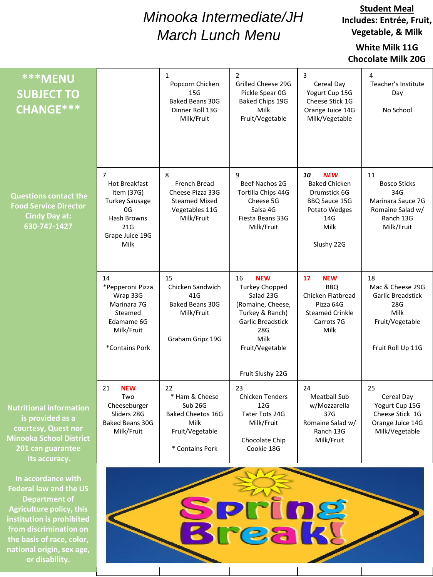# *Minooka Intermediate/JH March Lunch Menu*

**Student Meal Includes: Entrée, Fruit, Vegetable, & Milk**

### **White Milk 11G Chocolate Milk 20G**

| <b>***MENU</b><br><b>SUBJECT TO</b><br><b>CHANGE***</b>                                                                                           |                                                                                                                               | 1<br>Popcorn Chicken<br>15G<br><b>Baked Beans 30G</b><br>Dinner Roll 13G<br>Milk/Fruit                    | $\overline{2}$<br>Grilled Cheese 29G<br>Pickle Spear 0G<br>Baked Chips 19G<br>Milk<br>Fruit/Vegetable                                                                            | 3<br>Cereal Day<br>Yogurt Cup 15G<br>Cheese Stick 1G<br>Orange Juice 14G<br>Milk/Vegetable                              | 4<br>Teacher's Institute<br>Day<br>No School                                                         |
|---------------------------------------------------------------------------------------------------------------------------------------------------|-------------------------------------------------------------------------------------------------------------------------------|-----------------------------------------------------------------------------------------------------------|----------------------------------------------------------------------------------------------------------------------------------------------------------------------------------|-------------------------------------------------------------------------------------------------------------------------|------------------------------------------------------------------------------------------------------|
| <b>Questions contact the</b><br><b>Food Service Director</b><br><b>Cindy Day at:</b><br>630-747-1427                                              | $\overline{7}$<br>Hot Breakfast<br>Item (37G)<br><b>Turkey Sausage</b><br>0G<br>Hash Browns<br>21G<br>Grape Juice 19G<br>Milk | 8<br>French Bread<br>Cheese Pizza 33G<br><b>Steamed Mixed</b><br>Vegetables 11G<br>Milk/Fruit             | 9<br>Beef Nachos 2G<br>Tortilla Chips 44G<br>Cheese 5G<br>Salsa 4G<br>Fiesta Beans 33G<br>Milk/Fruit                                                                             | <b>NEW</b><br>10<br><b>Baked Chicken</b><br>Drumstick 6G<br>BBQ Sauce 15G<br>Potato Wedges<br>14G<br>Milk<br>Slushy 22G | 11<br><b>Bosco Sticks</b><br>34G<br>Marinara Sauce 7G<br>Romaine Salad w/<br>Ranch 13G<br>Milk/Fruit |
|                                                                                                                                                   | 14<br>*Pepperoni Pizza<br>Wrap 33G<br>Marinara 7G<br>Steamed<br>Edamame 6G<br>Milk/Fruit<br>*Contains Pork                    | 15<br>Chicken Sandwich<br>41G<br>Baked Beans 30G<br>Milk/Fruit<br>Graham Gripz 19G                        | <b>NEW</b><br>16<br><b>Turkey Chopped</b><br>Salad 23G<br>(Romaine, Cheese,<br>Turkey & Ranch)<br><b>Garlic Breadstick</b><br>28G<br>Milk<br>Fruit/Vegetable<br>Fruit Slushy 22G | 17<br><b>NEW</b><br><b>BBQ</b><br>Chicken Flatbread<br>Pizza 64G<br><b>Steamed Crinkle</b><br>Carrots 7G<br>Milk        | 18<br>Mac & Cheese 29G<br>Garlic Breadstick<br>28G<br>Milk<br>Fruit/Vegetable<br>Fruit Roll Up 11G   |
| <b>Nutritional information</b><br>is provided as a<br>courtesy, Quest nor<br><b>Minooka School District</b><br>201 can guarantee<br>its accuracy. | <b>NEW</b><br>21<br>Two<br>Cheeseburger<br>Sliders 28G<br>Baked Beans 30G<br>Milk/Fruit                                       | 22<br>* Ham & Cheese<br>Sub 26G<br><b>Baked Cheetos 16G</b><br>Milk<br>Fruit/Vegetable<br>* Contains Pork | 23<br><b>Chicken Tenders</b><br>12G<br>Tater Tots 24G<br>Milk/Fruit<br>Chocolate Chip<br>Cookie 18G                                                                              | 24<br><b>Meatball Sub</b><br>w/Mozzarella<br>37G<br>Romaine Salad w/<br>Ranch 13G<br>Milk/Fruit                         | 25<br>Cereal Day<br>Yogurt Cup 15G<br>Cheese Stick 1G<br>Orange Juice 14G<br>Milk/Vegetable          |
| In accordance with<br><b>Federal law and the US</b><br><b>Department of</b><br>riculture policy this                                              |                                                                                                                               |                                                                                                           |                                                                                                                                                                                  |                                                                                                                         |                                                                                                      |

**Break!** 

**Agriculture policy, this institution is prohibited from discrimination on the basis of race, color, national origin, sex age, or disability.**